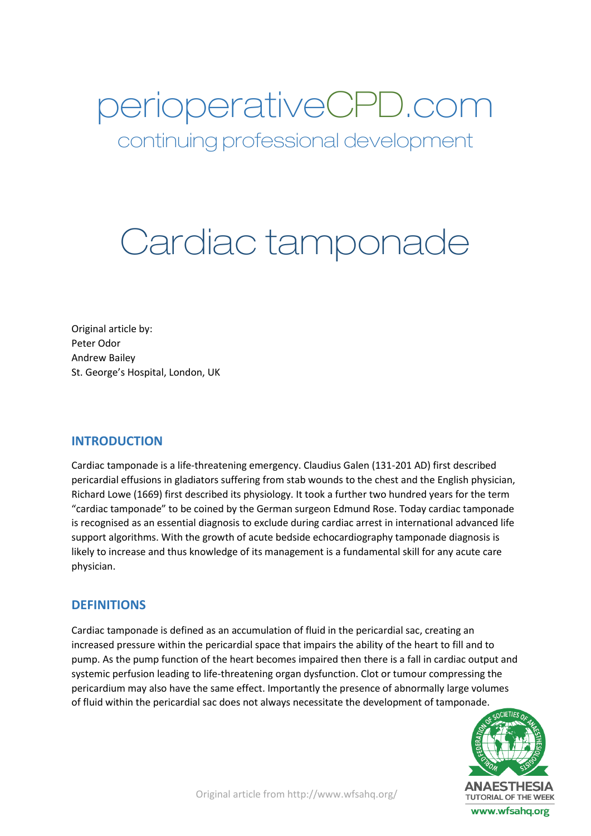perioperativeCPD.com

continuing professional development

# Cardiac tamponade

Original article by: Peter Odor Andrew Bailey St. George's Hospital, London, UK

# **INTRODUCTION**

Cardiac tamponade is a life-threatening emergency. Claudius Galen (131-201 AD) first described pericardial effusions in gladiators suffering from stab wounds to the chest and the English physician, Richard Lowe (1669) first described its physiology. It took a further two hundred years for the term "cardiac tamponade" to be coined by the German surgeon Edmund Rose. Today cardiac tamponade is recognised as an essential diagnosis to exclude during cardiac arrest in international advanced life support algorithms. With the growth of acute bedside echocardiography tamponade diagnosis is likely to increase and thus knowledge of its management is a fundamental skill for any acute care physician.

# **DEFINITIONS**

Cardiac tamponade is defined as an accumulation of fluid in the pericardial sac, creating an increased pressure within the pericardial space that impairs the ability of the heart to fill and to pump. As the pump function of the heart becomes impaired then there is a fall in cardiac output and systemic perfusion leading to life-threatening organ dysfunction. Clot or tumour compressing the pericardium may also have the same effect. Importantly the presence of abnormally large volumes of fluid within the pericardial sac does not always necessitate the development of tamponade.

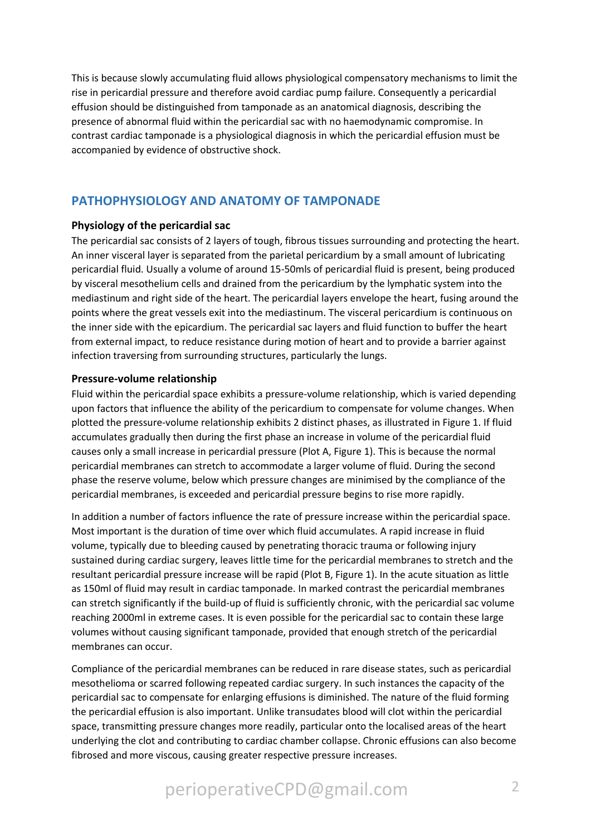This is because slowly accumulating fluid allows physiological compensatory mechanisms to limit the rise in pericardial pressure and therefore avoid cardiac pump failure. Consequently a pericardial effusion should be distinguished from tamponade as an anatomical diagnosis, describing the presence of abnormal fluid within the pericardial sac with no haemodynamic compromise. In contrast cardiac tamponade is a physiological diagnosis in which the pericardial effusion must be accompanied by evidence of obstructive shock.

# **PATHOPHYSIOLOGY AND ANATOMY OF TAMPONADE**

## **Physiology of the pericardial sac**

The pericardial sac consists of 2 layers of tough, fibrous tissues surrounding and protecting the heart. An inner visceral layer is separated from the parietal pericardium by a small amount of lubricating pericardial fluid. Usually a volume of around 15-50mls of pericardial fluid is present, being produced by visceral mesothelium cells and drained from the pericardium by the lymphatic system into the mediastinum and right side of the heart. The pericardial layers envelope the heart, fusing around the points where the great vessels exit into the mediastinum. The visceral pericardium is continuous on the inner side with the epicardium. The pericardial sac layers and fluid function to buffer the heart from external impact, to reduce resistance during motion of heart and to provide a barrier against infection traversing from surrounding structures, particularly the lungs.

## **Pressure-volume relationship**

Fluid within the pericardial space exhibits a pressure-volume relationship, which is varied depending upon factors that influence the ability of the pericardium to compensate for volume changes. When plotted the pressure-volume relationship exhibits 2 distinct phases, as illustrated in Figure 1. If fluid accumulates gradually then during the first phase an increase in volume of the pericardial fluid causes only a small increase in pericardial pressure (Plot A, Figure 1). This is because the normal pericardial membranes can stretch to accommodate a larger volume of fluid. During the second phase the reserve volume, below which pressure changes are minimised by the compliance of the pericardial membranes, is exceeded and pericardial pressure begins to rise more rapidly.

In addition a number of factors influence the rate of pressure increase within the pericardial space. Most important is the duration of time over which fluid accumulates. A rapid increase in fluid volume, typically due to bleeding caused by penetrating thoracic trauma or following injury sustained during cardiac surgery, leaves little time for the pericardial membranes to stretch and the resultant pericardial pressure increase will be rapid (Plot B, Figure 1). In the acute situation as little as 150ml of fluid may result in cardiac tamponade. In marked contrast the pericardial membranes can stretch significantly if the build-up of fluid is sufficiently chronic, with the pericardial sac volume reaching 2000ml in extreme cases. It is even possible for the pericardial sac to contain these large volumes without causing significant tamponade, provided that enough stretch of the pericardial membranes can occur.

Compliance of the pericardial membranes can be reduced in rare disease states, such as pericardial mesothelioma or scarred following repeated cardiac surgery. In such instances the capacity of the pericardial sac to compensate for enlarging effusions is diminished. The nature of the fluid forming the pericardial effusion is also important. Unlike transudates blood will clot within the pericardial space, transmitting pressure changes more readily, particular onto the localised areas of the heart underlying the clot and contributing to cardiac chamber collapse. Chronic effusions can also become fibrosed and more viscous, causing greater respective pressure increases.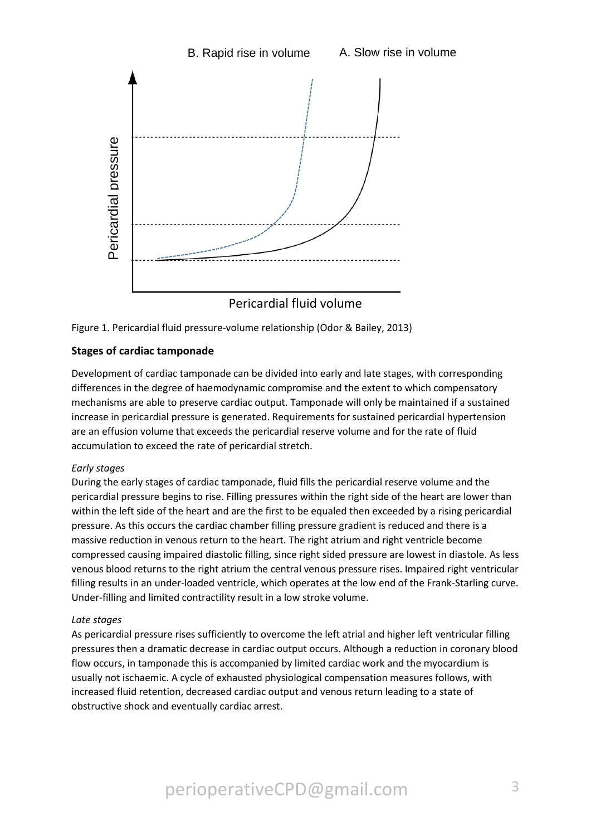

Figure 1. Pericardial fluid pressure-volume relationship (Odor & Bailey, 2013)

# **Stages of cardiac tamponade**

Development of cardiac tamponade can be divided into early and late stages, with corresponding differences in the degree of haemodynamic compromise and the extent to which compensatory mechanisms are able to preserve cardiac output. Tamponade will only be maintained if a sustained increase in pericardial pressure is generated. Requirements for sustained pericardial hypertension are an effusion volume that exceeds the pericardial reserve volume and for the rate of fluid accumulation to exceed the rate of pericardial stretch.

## *Early stages*

During the early stages of cardiac tamponade, fluid fills the pericardial reserve volume and the pericardial pressure begins to rise. Filling pressures within the right side of the heart are lower than within the left side of the heart and are the first to be equaled then exceeded by a rising pericardial pressure. As this occurs the cardiac chamber filling pressure gradient is reduced and there is a massive reduction in venous return to the heart. The right atrium and right ventricle become compressed causing impaired diastolic filling, since right sided pressure are lowest in diastole. As less venous blood returns to the right atrium the central venous pressure rises. Impaired right ventricular filling results in an under-loaded ventricle, which operates at the low end of the Frank-Starling curve. Under-filling and limited contractility result in a low stroke volume.

## *Late stages*

As pericardial pressure rises sufficiently to overcome the left atrial and higher left ventricular filling pressures then a dramatic decrease in cardiac output occurs. Although a reduction in coronary blood flow occurs, in tamponade this is accompanied by limited cardiac work and the myocardium is usually not ischaemic. A cycle of exhausted physiological compensation measures follows, with increased fluid retention, decreased cardiac output and venous return leading to a state of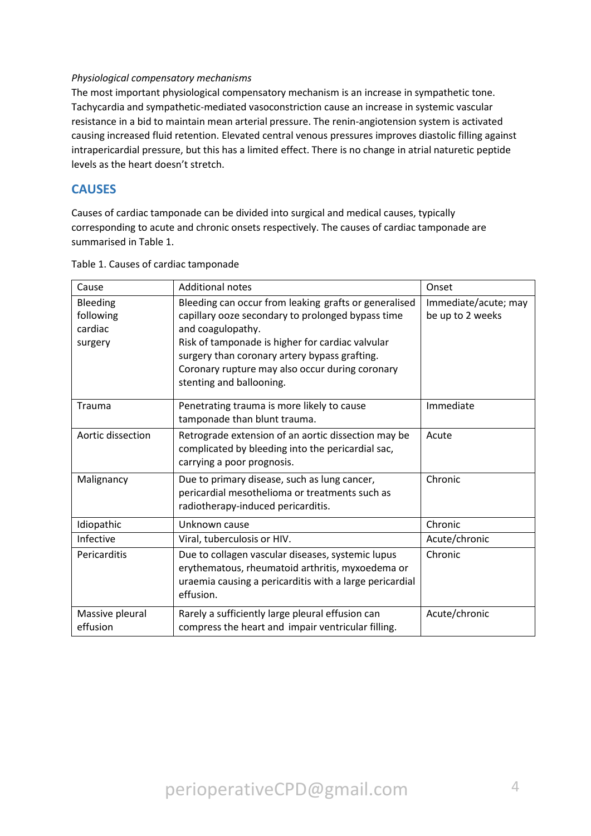## *Physiological compensatory mechanisms*

The most important physiological compensatory mechanism is an increase in sympathetic tone. Tachycardia and sympathetic-mediated vasoconstriction cause an increase in systemic vascular resistance in a bid to maintain mean arterial pressure. The renin-angiotension system is activated causing increased fluid retention. Elevated central venous pressures improves diastolic filling against intrapericardial pressure, but this has a limited effect. There is no change in atrial naturetic peptide levels as the heart doesn't stretch.

# **CAUSES**

Causes of cardiac tamponade can be divided into surgical and medical causes, typically corresponding to acute and chronic onsets respectively. The causes of cardiac tamponade are summarised in Table 1.

| Cause                                       | <b>Additional notes</b>                                                                                                                                                                                                                                                                                             | Onset                                    |
|---------------------------------------------|---------------------------------------------------------------------------------------------------------------------------------------------------------------------------------------------------------------------------------------------------------------------------------------------------------------------|------------------------------------------|
| Bleeding<br>following<br>cardiac<br>surgery | Bleeding can occur from leaking grafts or generalised<br>capillary ooze secondary to prolonged bypass time<br>and coagulopathy.<br>Risk of tamponade is higher for cardiac valvular<br>surgery than coronary artery bypass grafting.<br>Coronary rupture may also occur during coronary<br>stenting and ballooning. | Immediate/acute; may<br>be up to 2 weeks |
| Trauma                                      | Penetrating trauma is more likely to cause<br>tamponade than blunt trauma.                                                                                                                                                                                                                                          | Immediate                                |
| Aortic dissection                           | Retrograde extension of an aortic dissection may be<br>complicated by bleeding into the pericardial sac,<br>carrying a poor prognosis.                                                                                                                                                                              | Acute                                    |
| Malignancy                                  | Due to primary disease, such as lung cancer,<br>pericardial mesothelioma or treatments such as<br>radiotherapy-induced pericarditis.                                                                                                                                                                                | Chronic                                  |
| Idiopathic                                  | Unknown cause                                                                                                                                                                                                                                                                                                       | Chronic                                  |
| Infective                                   | Viral, tuberculosis or HIV.                                                                                                                                                                                                                                                                                         | Acute/chronic                            |
| Pericarditis                                | Due to collagen vascular diseases, systemic lupus<br>erythematous, rheumatoid arthritis, myxoedema or<br>uraemia causing a pericarditis with a large pericardial<br>effusion.                                                                                                                                       | Chronic                                  |
| Massive pleural<br>effusion                 | Rarely a sufficiently large pleural effusion can<br>compress the heart and impair ventricular filling.                                                                                                                                                                                                              | Acute/chronic                            |

Table 1. Causes of cardiac tamponade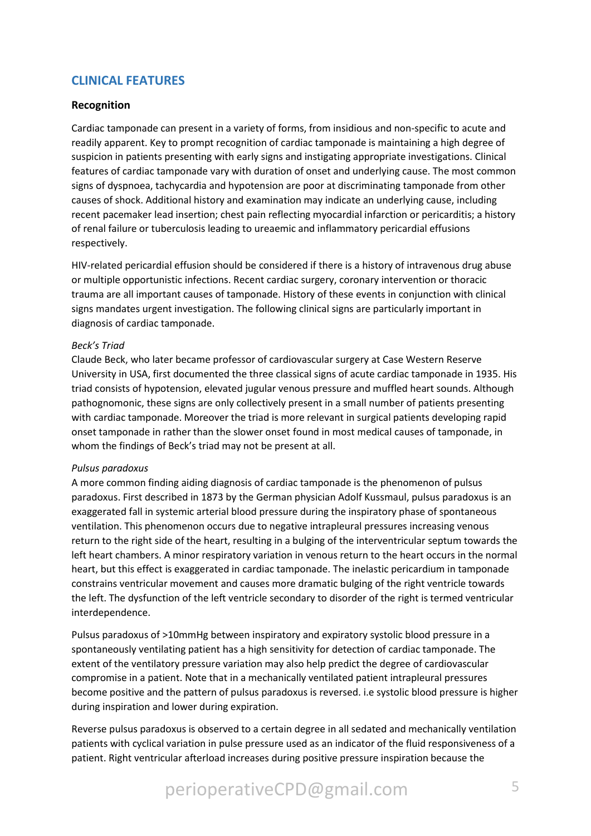# **CLINICAL FEATURES**

## **Recognition**

Cardiac tamponade can present in a variety of forms, from insidious and non-specific to acute and readily apparent. Key to prompt recognition of cardiac tamponade is maintaining a high degree of suspicion in patients presenting with early signs and instigating appropriate investigations. Clinical features of cardiac tamponade vary with duration of onset and underlying cause. The most common signs of dyspnoea, tachycardia and hypotension are poor at discriminating tamponade from other causes of shock. Additional history and examination may indicate an underlying cause, including recent pacemaker lead insertion; chest pain reflecting myocardial infarction or pericarditis; a history of renal failure or tuberculosis leading to ureaemic and inflammatory pericardial effusions respectively.

HIV-related pericardial effusion should be considered if there is a history of intravenous drug abuse or multiple opportunistic infections. Recent cardiac surgery, coronary intervention or thoracic trauma are all important causes of tamponade. History of these events in conjunction with clinical signs mandates urgent investigation. The following clinical signs are particularly important in diagnosis of cardiac tamponade.

#### *Beck's Triad*

Claude Beck, who later became professor of cardiovascular surgery at Case Western Reserve University in USA, first documented the three classical signs of acute cardiac tamponade in 1935. His triad consists of hypotension, elevated jugular venous pressure and muffled heart sounds. Although pathognomonic, these signs are only collectively present in a small number of patients presenting with cardiac tamponade. Moreover the triad is more relevant in surgical patients developing rapid onset tamponade in rather than the slower onset found in most medical causes of tamponade, in whom the findings of Beck's triad may not be present at all.

#### *Pulsus paradoxus*

A more common finding aiding diagnosis of cardiac tamponade is the phenomenon of pulsus paradoxus. First described in 1873 by the German physician Adolf Kussmaul, pulsus paradoxus is an exaggerated fall in systemic arterial blood pressure during the inspiratory phase of spontaneous ventilation. This phenomenon occurs due to negative intrapleural pressures increasing venous return to the right side of the heart, resulting in a bulging of the interventricular septum towards the left heart chambers. A minor respiratory variation in venous return to the heart occurs in the normal heart, but this effect is exaggerated in cardiac tamponade. The inelastic pericardium in tamponade constrains ventricular movement and causes more dramatic bulging of the right ventricle towards the left. The dysfunction of the left ventricle secondary to disorder of the right is termed ventricular interdependence.

Pulsus paradoxus of >10mmHg between inspiratory and expiratory systolic blood pressure in a spontaneously ventilating patient has a high sensitivity for detection of cardiac tamponade. The extent of the ventilatory pressure variation may also help predict the degree of cardiovascular compromise in a patient. Note that in a mechanically ventilated patient intrapleural pressures become positive and the pattern of pulsus paradoxus is reversed. i.e systolic blood pressure is higher during inspiration and lower during expiration.

Reverse pulsus paradoxus is observed to a certain degree in all sedated and mechanically ventilation patients with cyclical variation in pulse pressure used as an indicator of the fluid responsiveness of a patient. Right ventricular afterload increases during positive pressure inspiration because the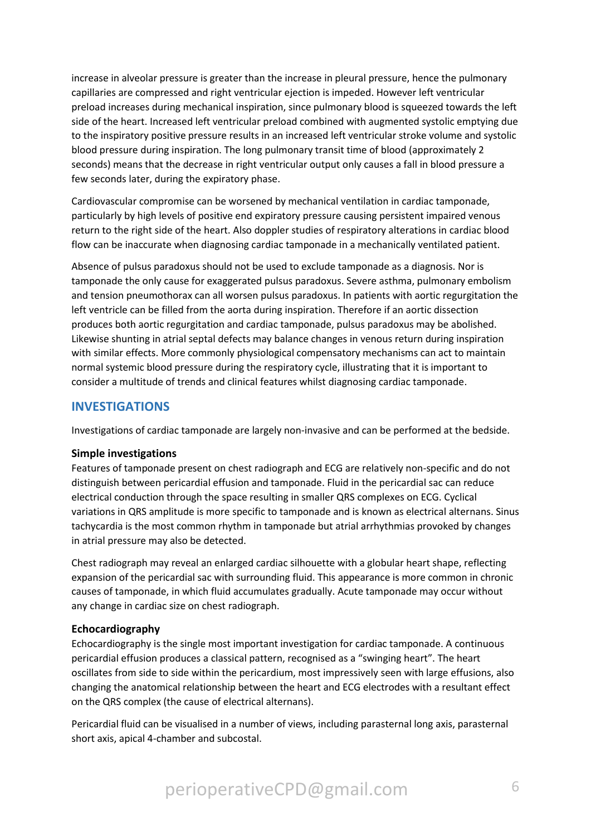increase in alveolar pressure is greater than the increase in pleural pressure, hence the pulmonary capillaries are compressed and right ventricular ejection is impeded. However left ventricular preload increases during mechanical inspiration, since pulmonary blood is squeezed towards the left side of the heart. Increased left ventricular preload combined with augmented systolic emptying due to the inspiratory positive pressure results in an increased left ventricular stroke volume and systolic blood pressure during inspiration. The long pulmonary transit time of blood (approximately 2 seconds) means that the decrease in right ventricular output only causes a fall in blood pressure a few seconds later, during the expiratory phase.

Cardiovascular compromise can be worsened by mechanical ventilation in cardiac tamponade, particularly by high levels of positive end expiratory pressure causing persistent impaired venous return to the right side of the heart. Also doppler studies of respiratory alterations in cardiac blood flow can be inaccurate when diagnosing cardiac tamponade in a mechanically ventilated patient.

Absence of pulsus paradoxus should not be used to exclude tamponade as a diagnosis. Nor is tamponade the only cause for exaggerated pulsus paradoxus. Severe asthma, pulmonary embolism and tension pneumothorax can all worsen pulsus paradoxus. In patients with aortic regurgitation the left ventricle can be filled from the aorta during inspiration. Therefore if an aortic dissection produces both aortic regurgitation and cardiac tamponade, pulsus paradoxus may be abolished. Likewise shunting in atrial septal defects may balance changes in venous return during inspiration with similar effects. More commonly physiological compensatory mechanisms can act to maintain normal systemic blood pressure during the respiratory cycle, illustrating that it is important to consider a multitude of trends and clinical features whilst diagnosing cardiac tamponade.

# **INVESTIGATIONS**

Investigations of cardiac tamponade are largely non-invasive and can be performed at the bedside.

## **Simple investigations**

Features of tamponade present on chest radiograph and ECG are relatively non-specific and do not distinguish between pericardial effusion and tamponade. Fluid in the pericardial sac can reduce electrical conduction through the space resulting in smaller QRS complexes on ECG. Cyclical variations in QRS amplitude is more specific to tamponade and is known as electrical alternans. Sinus tachycardia is the most common rhythm in tamponade but atrial arrhythmias provoked by changes in atrial pressure may also be detected.

Chest radiograph may reveal an enlarged cardiac silhouette with a globular heart shape, reflecting expansion of the pericardial sac with surrounding fluid. This appearance is more common in chronic causes of tamponade, in which fluid accumulates gradually. Acute tamponade may occur without any change in cardiac size on chest radiograph.

## **Echocardiography**

Echocardiography is the single most important investigation for cardiac tamponade. A continuous pericardial effusion produces a classical pattern, recognised as a "swinging heart". The heart oscillates from side to side within the pericardium, most impressively seen with large effusions, also changing the anatomical relationship between the heart and ECG electrodes with a resultant effect on the QRS complex (the cause of electrical alternans).

Pericardial fluid can be visualised in a number of views, including parasternal long axis, parasternal short axis, apical 4-chamber and subcostal.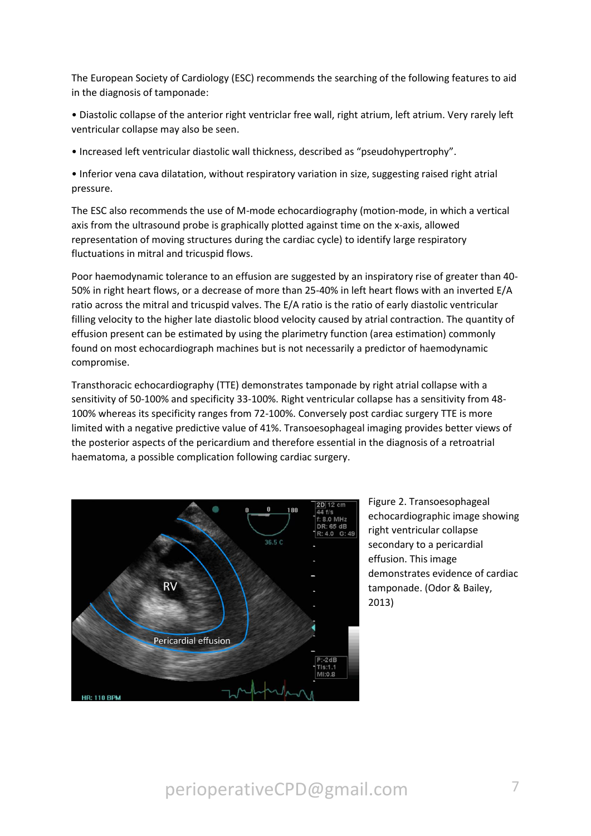The European Society of Cardiology (ESC) recommends the searching of the following features to aid in the diagnosis of tamponade:

- Diastolic collapse of the anterior right ventriclar free wall, right atrium, left atrium. Very rarely left ventricular collapse may also be seen.
- Increased left ventricular diastolic wall thickness, described as "pseudohypertrophy".

• Inferior vena cava dilatation, without respiratory variation in size, suggesting raised right atrial pressure.

The ESC also recommends the use of M-mode echocardiography (motion-mode, in which a vertical axis from the ultrasound probe is graphically plotted against time on the x-axis, allowed representation of moving structures during the cardiac cycle) to identify large respiratory fluctuations in mitral and tricuspid flows.

Poor haemodynamic tolerance to an effusion are suggested by an inspiratory rise of greater than 40- 50% in right heart flows, or a decrease of more than 25-40% in left heart flows with an inverted E/A ratio across the mitral and tricuspid valves. The E/A ratio is the ratio of early diastolic ventricular filling velocity to the higher late diastolic blood velocity caused by atrial contraction. The quantity of effusion present can be estimated by using the plarimetry function (area estimation) commonly found on most echocardiograph machines but is not necessarily a predictor of haemodynamic compromise.

Transthoracic echocardiography (TTE) demonstrates tamponade by right atrial collapse with a sensitivity of 50-100% and specificity 33-100%. Right ventricular collapse has a sensitivity from 48- 100% whereas its specificity ranges from 72-100%. Conversely post cardiac surgery TTE is more limited with a negative predictive value of 41%. Transoesophageal imaging provides better views of the posterior aspects of the pericardium and therefore essential in the diagnosis of a retroatrial haematoma, a possible complication following cardiac surgery.



Figure 2. Transoesophageal echocardiographic image showing right ventricular collapse secondary to a pericardial effusion. This image demonstrates evidence of cardiac tamponade. (Odor & Bailey, 2013)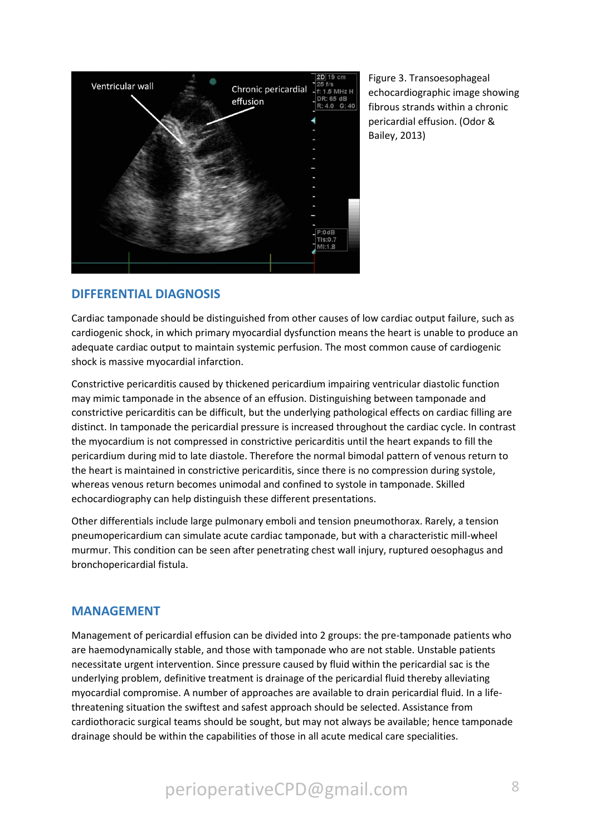

Figure 3. Transoesophageal echocardiographic image showing fibrous strands within a chronic pericardial effusion. (Odor & Bailey, 2013)

# **DIFFERENTIAL DIAGNOSIS**

Cardiac tamponade should be distinguished from other causes of low cardiac output failure, such as cardiogenic shock, in which primary myocardial dysfunction means the heart is unable to produce an adequate cardiac output to maintain systemic perfusion. The most common cause of cardiogenic shock is massive myocardial infarction.

Constrictive pericarditis caused by thickened pericardium impairing ventricular diastolic function may mimic tamponade in the absence of an effusion. Distinguishing between tamponade and constrictive pericarditis can be difficult, but the underlying pathological effects on cardiac filling are distinct. In tamponade the pericardial pressure is increased throughout the cardiac cycle. In contrast the myocardium is not compressed in constrictive pericarditis until the heart expands to fill the pericardium during mid to late diastole. Therefore the normal bimodal pattern of venous return to the heart is maintained in constrictive pericarditis, since there is no compression during systole, whereas venous return becomes unimodal and confined to systole in tamponade. Skilled echocardiography can help distinguish these different presentations.

Other differentials include large pulmonary emboli and tension pneumothorax. Rarely, a tension pneumopericardium can simulate acute cardiac tamponade, but with a characteristic mill-wheel murmur. This condition can be seen after penetrating chest wall injury, ruptured oesophagus and bronchopericardial fistula.

# **MANAGEMENT**

Management of pericardial effusion can be divided into 2 groups: the pre-tamponade patients who are haemodynamically stable, and those with tamponade who are not stable. Unstable patients necessitate urgent intervention. Since pressure caused by fluid within the pericardial sac is the underlying problem, definitive treatment is drainage of the pericardial fluid thereby alleviating myocardial compromise. A number of approaches are available to drain pericardial fluid. In a lifethreatening situation the swiftest and safest approach should be selected. Assistance from cardiothoracic surgical teams should be sought, but may not always be available; hence tamponade drainage should be within the capabilities of those in all acute medical care specialities.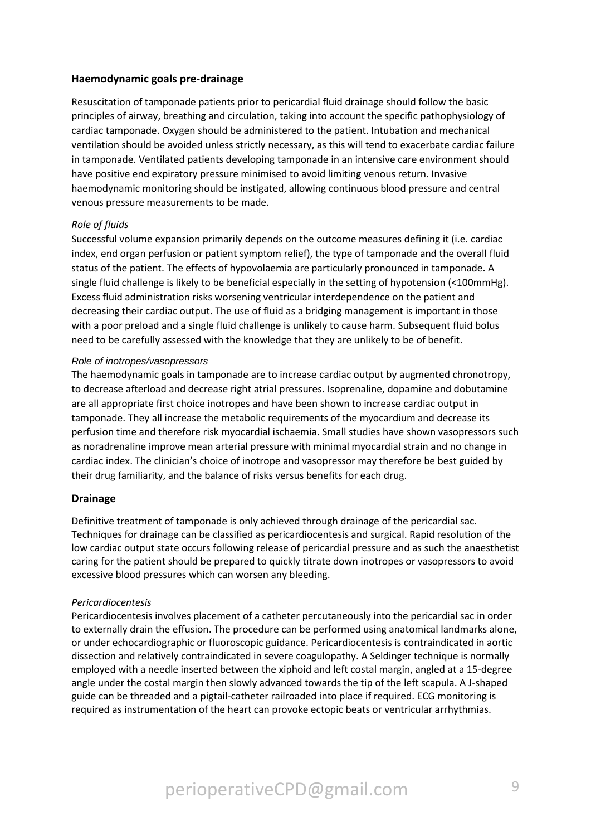## **Haemodynamic goals pre-drainage**

Resuscitation of tamponade patients prior to pericardial fluid drainage should follow the basic principles of airway, breathing and circulation, taking into account the specific pathophysiology of cardiac tamponade. Oxygen should be administered to the patient. Intubation and mechanical ventilation should be avoided unless strictly necessary, as this will tend to exacerbate cardiac failure in tamponade. Ventilated patients developing tamponade in an intensive care environment should have positive end expiratory pressure minimised to avoid limiting venous return. Invasive haemodynamic monitoring should be instigated, allowing continuous blood pressure and central venous pressure measurements to be made.

#### *Role of fluids*

Successful volume expansion primarily depends on the outcome measures defining it (i.e. cardiac index, end organ perfusion or patient symptom relief), the type of tamponade and the overall fluid status of the patient. The effects of hypovolaemia are particularly pronounced in tamponade. A single fluid challenge is likely to be beneficial especially in the setting of hypotension (<100mmHg). Excess fluid administration risks worsening ventricular interdependence on the patient and decreasing their cardiac output. The use of fluid as a bridging management is important in those with a poor preload and a single fluid challenge is unlikely to cause harm. Subsequent fluid bolus need to be carefully assessed with the knowledge that they are unlikely to be of benefit.

#### *Role of inotropes/vasopressors*

The haemodynamic goals in tamponade are to increase cardiac output by augmented chronotropy, to decrease afterload and decrease right atrial pressures. Isoprenaline, dopamine and dobutamine are all appropriate first choice inotropes and have been shown to increase cardiac output in tamponade. They all increase the metabolic requirements of the myocardium and decrease its perfusion time and therefore risk myocardial ischaemia. Small studies have shown vasopressors such as noradrenaline improve mean arterial pressure with minimal myocardial strain and no change in cardiac index. The clinician's choice of inotrope and vasopressor may therefore be best guided by their drug familiarity, and the balance of risks versus benefits for each drug.

#### **Drainage**

Definitive treatment of tamponade is only achieved through drainage of the pericardial sac. Techniques for drainage can be classified as pericardiocentesis and surgical. Rapid resolution of the low cardiac output state occurs following release of pericardial pressure and as such the anaesthetist caring for the patient should be prepared to quickly titrate down inotropes or vasopressors to avoid excessive blood pressures which can worsen any bleeding.

#### *Pericardiocentesis*

Pericardiocentesis involves placement of a catheter percutaneously into the pericardial sac in order to externally drain the effusion. The procedure can be performed using anatomical landmarks alone, or under echocardiographic or fluoroscopic guidance. Pericardiocentesis is contraindicated in aortic dissection and relatively contraindicated in severe coagulopathy. A Seldinger technique is normally employed with a needle inserted between the xiphoid and left costal margin, angled at a 15-degree angle under the costal margin then slowly advanced towards the tip of the left scapula. A J-shaped guide can be threaded and a pigtail-catheter railroaded into place if required. ECG monitoring is required as instrumentation of the heart can provoke ectopic beats or ventricular arrhythmias.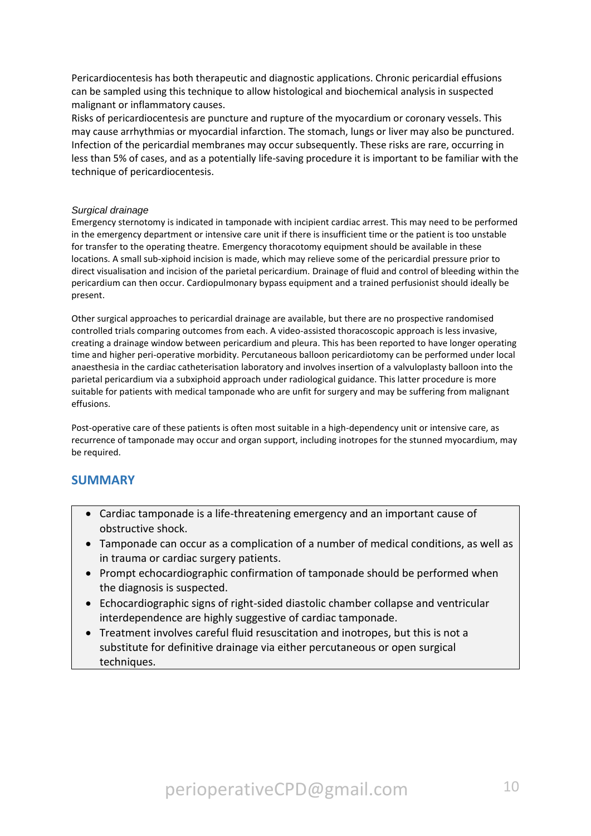Pericardiocentesis has both therapeutic and diagnostic applications. Chronic pericardial effusions can be sampled using this technique to allow histological and biochemical analysis in suspected malignant or inflammatory causes.

Risks of pericardiocentesis are puncture and rupture of the myocardium or coronary vessels. This may cause arrhythmias or myocardial infarction. The stomach, lungs or liver may also be punctured. Infection of the pericardial membranes may occur subsequently. These risks are rare, occurring in less than 5% of cases, and as a potentially life-saving procedure it is important to be familiar with the technique of pericardiocentesis.

#### *Surgical drainage*

Emergency sternotomy is indicated in tamponade with incipient cardiac arrest. This may need to be performed in the emergency department or intensive care unit if there is insufficient time or the patient is too unstable for transfer to the operating theatre. Emergency thoracotomy equipment should be available in these locations. A small sub-xiphoid incision is made, which may relieve some of the pericardial pressure prior to direct visualisation and incision of the parietal pericardium. Drainage of fluid and control of bleeding within the pericardium can then occur. Cardiopulmonary bypass equipment and a trained perfusionist should ideally be present.

Other surgical approaches to pericardial drainage are available, but there are no prospective randomised controlled trials comparing outcomes from each. A video-assisted thoracoscopic approach is less invasive, creating a drainage window between pericardium and pleura. This has been reported to have longer operating time and higher peri-operative morbidity. Percutaneous balloon pericardiotomy can be performed under local anaesthesia in the cardiac catheterisation laboratory and involves insertion of a valvuloplasty balloon into the parietal pericardium via a subxiphoid approach under radiological guidance. This latter procedure is more suitable for patients with medical tamponade who are unfit for surgery and may be suffering from malignant effusions.

Post-operative care of these patients is often most suitable in a high-dependency unit or intensive care, as recurrence of tamponade may occur and organ support, including inotropes for the stunned myocardium, may be required.

## **SUMMARY**

- Cardiac tamponade is a life-threatening emergency and an important cause of obstructive shock.
- Tamponade can occur as a complication of a number of medical conditions, as well as in trauma or cardiac surgery patients.
- Prompt echocardiographic confirmation of tamponade should be performed when the diagnosis is suspected.
- Echocardiographic signs of right-sided diastolic chamber collapse and ventricular interdependence are highly suggestive of cardiac tamponade.
- Treatment involves careful fluid resuscitation and inotropes, but this is not a substitute for definitive drainage via either percutaneous or open surgical techniques.